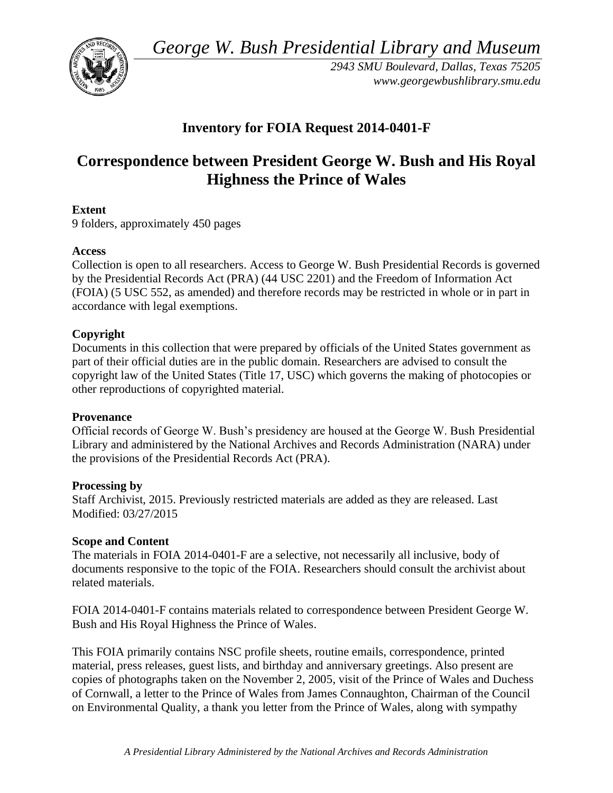*George W. Bush Presidential Library and Museum* 



*2943 SMU Boulevard, Dallas, Texas 75205 <www.georgewbushlibrary.smu.edu>* 

## **Inventory for FOIA Request 2014-0401-F**

# **Correspondence between President George W. Bush and His Royal Highness the Prince of Wales**

### **Extent**

9 folders, approximately 450 pages

#### **Access**

Collection is open to all researchers. Access to George W. Bush Presidential Records is governed by the Presidential Records Act (PRA) (44 USC 2201) and the Freedom of Information Act (FOIA) (5 USC 552, as amended) and therefore records may be restricted in whole or in part in accordance with legal exemptions.

### **Copyright**

 Documents in this collection that were prepared by officials of the United States government as part of their official duties are in the public domain. Researchers are advised to consult the copyright law of the United States (Title 17, USC) which governs the making of photocopies or other reproductions of copyrighted material.

#### **Provenance**

Official records of George W. Bush's presidency are housed at the George W. Bush Presidential Library and administered by the National Archives and Records Administration (NARA) under the provisions of the Presidential Records Act (PRA).

#### **Processing by**

Staff Archivist, 2015. Previously restricted materials are added as they are released. Last Modified: 03/27/2015

#### **Scope and Content**

 documents responsive to the topic of the FOIA. Researchers should consult the archivist about The materials in FOIA 2014-0401-F are a selective, not necessarily all inclusive, body of related materials.

FOIA 2014-0401-F contains materials related to correspondence between President George W. Bush and His Royal Highness the Prince of Wales.

This FOIA primarily contains NSC profile sheets, routine emails, correspondence, printed material, press releases, guest lists, and birthday and anniversary greetings. Also present are copies of photographs taken on the November 2, 2005, visit of the Prince of Wales and Duchess of Cornwall, a letter to the Prince of Wales from James Connaughton, Chairman of the Council on Environmental Quality, a thank you letter from the Prince of Wales, along with sympathy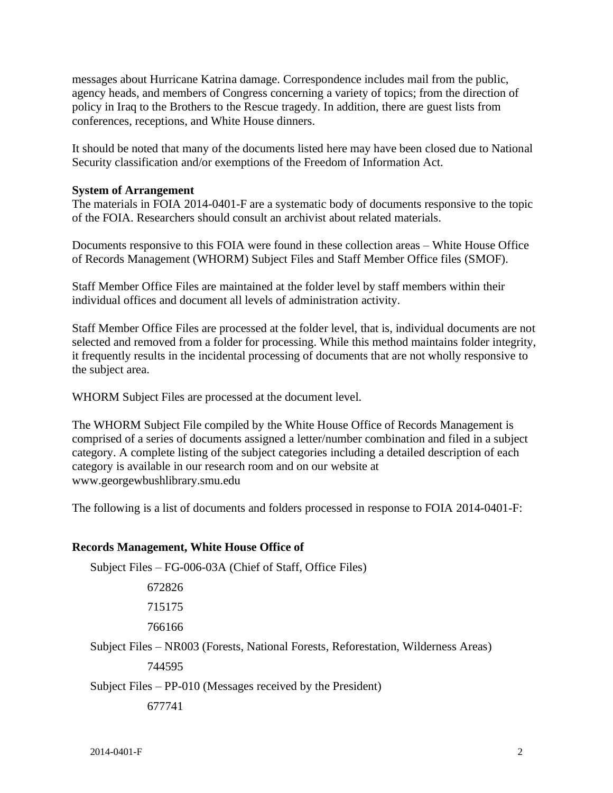messages about Hurricane Katrina damage. Correspondence includes mail from the public, agency heads, and members of Congress concerning a variety of topics; from the direction of policy in Iraq to the Brothers to the Rescue tragedy. In addition, there are guest lists from conferences, receptions, and White House dinners.

 It should be noted that many of the documents listed here may have been closed due to National Security classification and/or exemptions of the Freedom of Information Act.

#### **System of Arrangement**

 The materials in FOIA 2014-0401-F are a systematic body of documents responsive to the topic of the FOIA. Researchers should consult an archivist about related materials.

Documents responsive to this FOIA were found in these collection areas – White House Office of Records Management (WHORM) Subject Files and Staff Member Office files (SMOF).

 Staff Member Office Files are maintained at the folder level by staff members within their individual offices and document all levels of administration activity.

Staff Member Office Files are processed at the folder level, that is, individual documents are not selected and removed from a folder for processing. While this method maintains folder integrity, it frequently results in the incidental processing of documents that are not wholly responsive to the subject area.

WHORM Subject Files are processed at the document level.

 The WHORM Subject File compiled by the White House Office of Records Management is comprised of a series of documents assigned a letter/number combination and filed in a subject category. A complete listing of the subject categories including a detailed description of each category is available in our research room and on our website at <www.georgewbushlibrary.smu.edu>

The following is a list of documents and folders processed in response to FOIA 2014-0401-F:

#### **Records Management, White House Office of**

 Subject Files – FG-006-03A (Chief of Staff, Office Files) 672826 715175 766166 Subject Files – NR003 (Forests, National Forests, Reforestation, Wilderness Areas) 744595 Subject Files – PP-010 (Messages received by the President) 677741